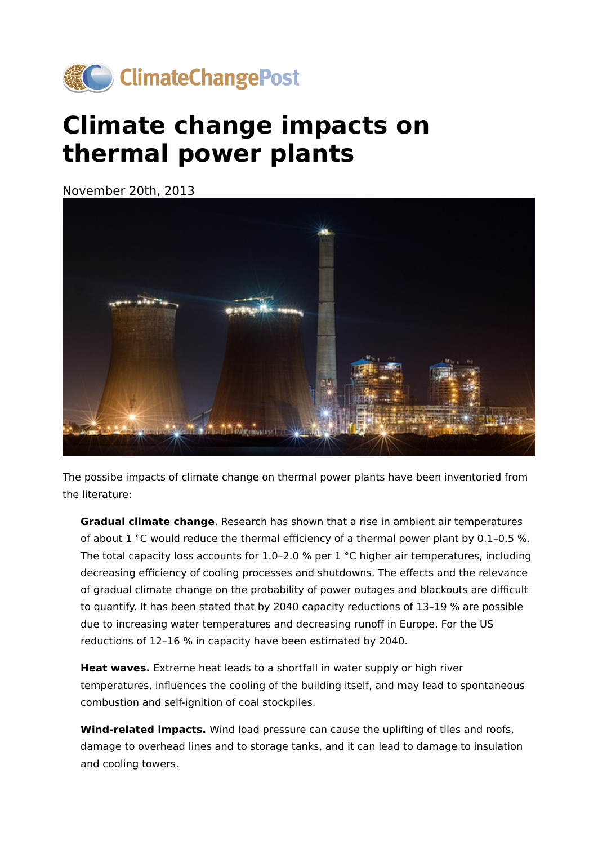

## **Climate change impacts on thermal power plants**

November 20th, 2013



The possibe impacts of climate change on thermal power plants have been inventoried from the literature:

**Gradual climate change**. Research has shown that a rise in ambient air temperatures of about  $1 \text{ °C}$  would reduce the thermal efficiency of a thermal power plant by 0.1-0.5 %. The total capacity loss accounts for 1.0-2.0 % per 1 °C higher air temperatures, including decreasing efficiency of cooling processes and shutdowns. The effects and the relevance of gradual climate change on the probability of power outages and blackouts are difficult to quantify. It has been stated that by 2040 capacity reductions of 13–19 % are possible due to increasing water temperatures and decreasing runoff in Europe. For the US reductions of 12–16 % in capacity have been estimated by 2040.

**Heat waves.** Extreme heat leads to a shortfall in water supply or high river temperatures, influences the cooling of the building itself, and may lead to spontaneous combustion and self-ignition of coal stockpiles.

**Wind-related impacts.** Wind load pressure can cause the uplifting of tiles and roofs, damage to overhead lines and to storage tanks, and it can lead to damage to insulation and cooling towers.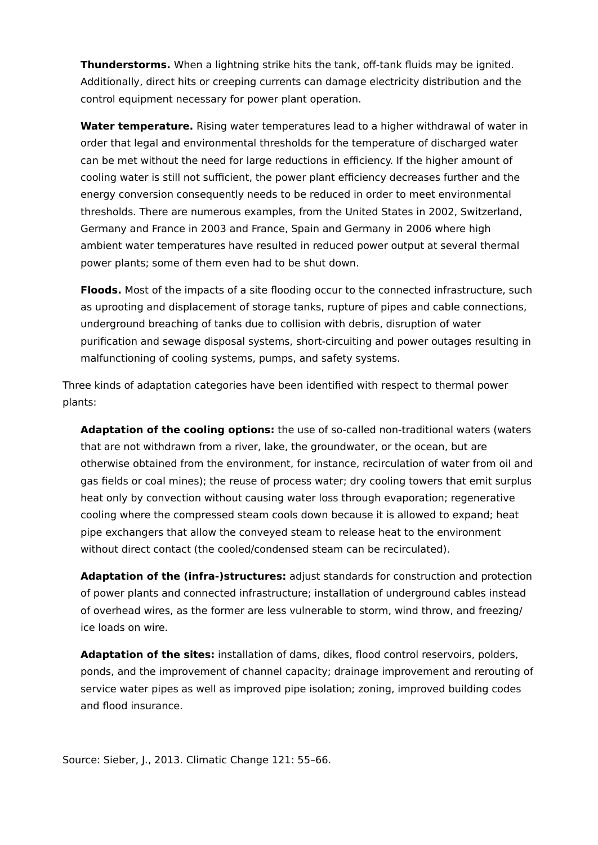**Thunderstorms.** When a lightning strike hits the tank, off-tank fluids may be ignited. Additionally, direct hits or creeping currents can damage electricity distribution and the control equipment necessary for power plant operation.

**Water temperature.** Rising water temperatures lead to a higher withdrawal of water in order that legal and environmental thresholds for the temperature of discharged water can be met without the need for large reductions in efficiency. If the higher amount of cooling water is still not sufficient, the power plant efficiency decreases further and the energy conversion consequently needs to be reduced in order to meet environmental thresholds. There are numerous examples, from the United States in 2002, Switzerland, Germany and France in 2003 and France, Spain and Germany in 2006 where high ambient water temperatures have resulted in reduced power output at several thermal power plants; some of them even had to be shut down.

**Floods.** Most of the impacts of a site flooding occur to the connected infrastructure, such as uprooting and displacement of storage tanks, rupture of pipes and cable connections, underground breaching of tanks due to collision with debris, disruption of water purification and sewage disposal systems, short-circuiting and power outages resulting in malfunctioning of cooling systems, pumps, and safety systems.

Three kinds of adaptation categories have been identified with respect to thermal power plants:

**Adaptation of the cooling options:** the use of so-called non-traditional waters (waters that are not withdrawn from a river, lake, the groundwater, or the ocean, but are otherwise obtained from the environment, for instance, recirculation of water from oil and gas fields or coal mines); the reuse of process water; dry cooling towers that emit surplus heat only by convection without causing water loss through evaporation; regenerative cooling where the compressed steam cools down because it is allowed to expand; heat pipe exchangers that allow the conveyed steam to release heat to the environment without direct contact (the cooled/condensed steam can be recirculated).

**Adaptation of the (infra-)structures:** adjust standards for construction and protection of power plants and connected infrastructure; installation of underground cables instead of overhead wires, as the former are less vulnerable to storm, wind throw, and freezing/ ice loads on wire.

**Adaptation of the sites:** installation of dams, dikes, flood control reservoirs, polders, ponds, and the improvement of channel capacity; drainage improvement and rerouting of service water pipes as well as improved pipe isolation; zoning, improved building codes and flood insurance.

Source: Sieber, J., 2013. Climatic Change 121: 55–66.